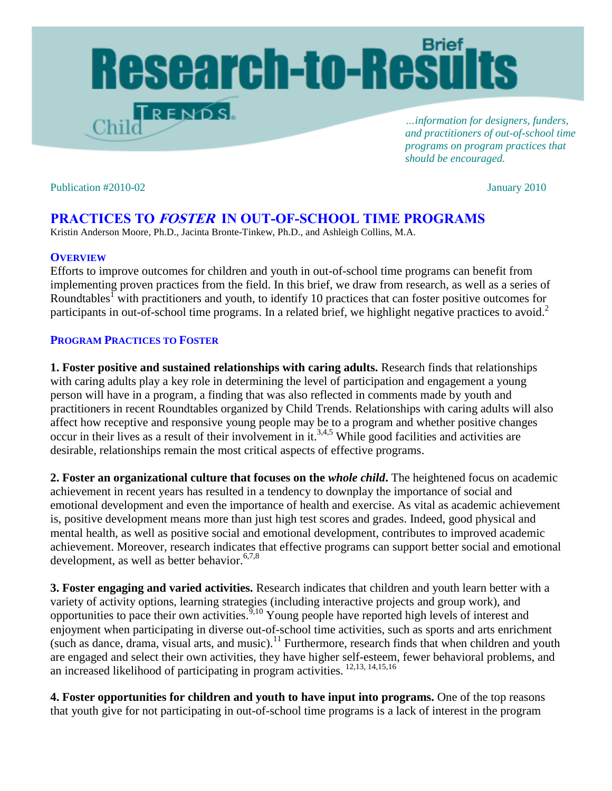# Research-to-Results  $T$ rends.

*…information for designers, funders, and practitioners of out-of-school time programs on program practices that should be encouraged.* 

Publication #2010-02January 2010

## **PRACTICES TO FOSTER IN OUT-OF-SCHOOL TIME PROGRAMS**

Kristin Anderson Moore, Ph.D., Jacinta Bronte-Tinkew, Ph.D., and Ashleigh Collins, M.A.

#### **OVERVIEW**

Efforts to improve outcomes for children and youth in out-of-school time programs can benefit from implementing proven practices from the field. In this brief, we draw from research, as well as a series of Roundtables<sup>1</sup> with practitioners and youth, to identify 10 practices that can foster positive outcomes for participants in out-of-school time programs. In a related brief, we highlight negative practices to avoid.<sup>2</sup>

### **PROGRAM PRACTICES TO FOSTER**

**1. Foster positive and sustained relationships with caring adults.** Research finds that relationships with caring adults play a key role in determining the level of participation and engagement a young person will have in a program, a finding that was also reflected in comments made by youth and practitioners in recent Roundtables organized by Child Trends. Relationships with caring adults will also affect how receptive and responsive young people may be to a program and whether positive changes occur in their lives as a result of their involvement in it.<sup>3,4,5</sup> While good facilities and activities are desirable, relationships remain the most critical aspects of effective programs.

**2. Foster an organizational culture that focuses on the** *whole child***.** The heightened focus on academic achievement in recent years has resulted in a tendency to downplay the importance of social and emotional development and even the importance of health and exercise. As vital as academic achievement is, positive development means more than just high test scores and grades. Indeed, good physical and mental health, as well as positive social and emotional development, contributes to improved academic achievement. Moreover, research indicates that effective programs can support better social and emotional development, as well as better behavior.<sup>6,7,8</sup>

**3. Foster engaging and varied activities.** Research indicates that children and youth learn better with a variety of activity options, learning strategies (including interactive projects and group work), and opportunities to pace their own activities.  $\frac{9,10}{9}$  Young people have reported high levels of interest and enjoyment when participating in diverse out-of-school time activities, such as sports and arts enrichment (such as dance, drama, visual arts, and music).<sup>11</sup> Furthermore, research finds that when children and youth are engaged and select their own activities, they have higher self-esteem, fewer behavioral problems, and an increased likelihood of participating in program activities.  $^{12,13, 14,15,16}$ 

**4. Foster opportunities for children and youth to have input into programs.** One of the top reasons that youth give for not participating in out-of-school time programs is a lack of interest in the program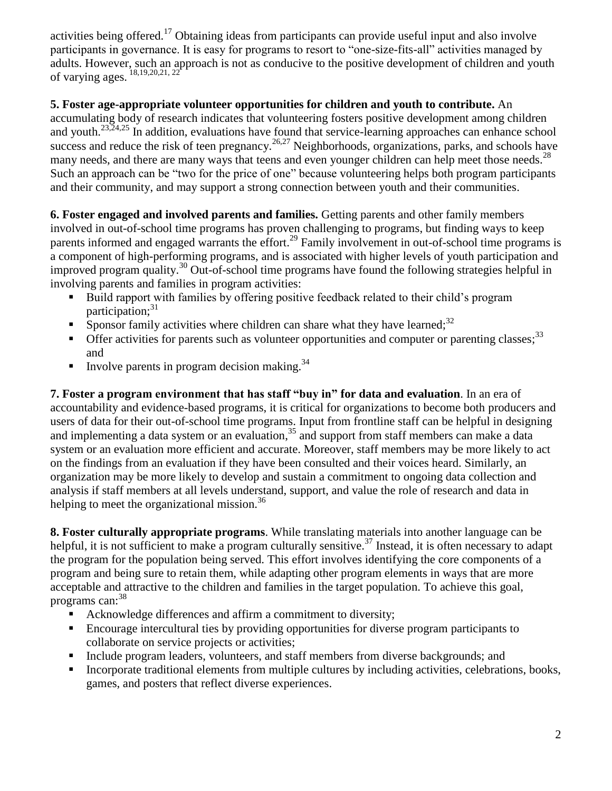activities being offered.<sup>17</sup> Obtaining ideas from participants can provide useful input and also involve participants in governance. It is easy for programs to resort to "one-size-fits-all" activities managed by adults. However, such an approach is not as conducive to the positive development of children and youth of varying ages.  $^{18,19,20,21,22}$ 

## **5. Foster age-appropriate volunteer opportunities for children and youth to contribute.** An

accumulating body of research indicates that volunteering fosters positive development among children and youth.23,24,25 In addition, evaluations have found that service-learning approaches can enhance school success and reduce the risk of teen pregnancy.<sup>26,27</sup> Neighborhoods, organizations, parks, and schools have many needs, and there are many ways that teens and even younger children can help meet those needs.<sup>28</sup> Such an approach can be "two for the price of one" because volunteering helps both program participants and their community, and may support a strong connection between youth and their communities.

**6. Foster engaged and involved parents and families.** Getting parents and other family members involved in out-of-school time programs has proven challenging to programs, but finding ways to keep parents informed and engaged warrants the effort.<sup>29</sup> Family involvement in out-of-school time programs is a component of high-performing programs, and is associated with higher levels of youth participation and improved program quality.<sup>30</sup> Out-of-school time programs have found the following strategies helpful in involving parents and families in program activities:

- Build rapport with families by offering positive feedback related to their child's program participation; 31
- Sponsor family activities where children can share what they have learned;<sup>32</sup>
- Offer activities for parents such as volunteer opportunities and computer or parenting classes;<sup>33</sup> and
- Involve parents in program decision making.<sup>34</sup>

**7. Foster a program environment that has staff "buy in" for data and evaluation**. In an era of accountability and evidence-based programs, it is critical for organizations to become both producers and users of data for their out-of-school time programs. Input from frontline staff can be helpful in designing and implementing a data system or an evaluation, <sup>35</sup> and support from staff members can make a data system or an evaluation more efficient and accurate. Moreover, staff members may be more likely to act on the findings from an evaluation if they have been consulted and their voices heard. Similarly, an organization may be more likely to develop and sustain a commitment to ongoing data collection and analysis if staff members at all levels understand, support, and value the role of research and data in helping to meet the organizational mission.<sup>36</sup>

**8. Foster culturally appropriate programs**. While translating materials into another language can be helpful, it is not sufficient to make a program culturally sensitive.<sup>37</sup> Instead, it is often necessary to adapt the program for the population being served. This effort involves identifying the core components of a program and being sure to retain them, while adapting other program elements in ways that are more acceptable and attractive to the children and families in the target population. To achieve this goal, programs can:<sup>38</sup>

- Acknowledge differences and affirm a commitment to diversity;
- Encourage intercultural ties by providing opportunities for diverse program participants to collaborate on service projects or activities;
- Include program leaders, volunteers, and staff members from diverse backgrounds; and
- Incorporate traditional elements from multiple cultures by including activities, celebrations, books, games, and posters that reflect diverse experiences.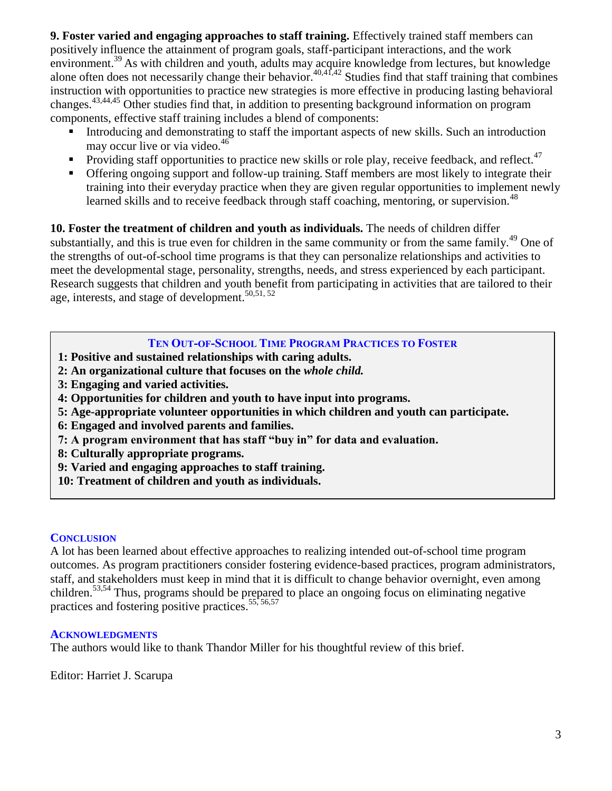**9. Foster varied and engaging approaches to staff training.** Effectively trained staff members can positively influence the attainment of program goals, staff-participant interactions, and the work environment.<sup>39</sup> As with children and youth, adults may acquire knowledge from lectures, but knowledge alone often does not necessarily change their behavior.<sup>40,41,42</sup> Studies find that staff training that combines instruction with opportunities to practice new strategies is more effective in producing lasting behavioral changes.43,44,45 Other studies find that, in addition to presenting background information on program components, effective staff training includes a blend of components:

- Introducing and demonstrating to staff the important aspects of new skills. Such an introduction may occur live or via video.<sup>46</sup>
- Providing staff opportunities to practice new skills or role play, receive feedback, and reflect.<sup>47</sup>
- **•** Offering ongoing support and follow-up training. Staff members are most likely to integrate their training into their everyday practice when they are given regular opportunities to implement newly learned skills and to receive feedback through staff coaching, mentoring, or supervision.<sup>48</sup>

**10. Foster the treatment of children and youth as individuals.** The needs of children differ substantially, and this is true even for children in the same community or from the same family.<sup>49</sup> One of the strengths of out-of-school time programs is that they can personalize relationships and activities to meet the developmental stage, personality, strengths, needs, and stress experienced by each participant. Research suggests that children and youth benefit from participating in activities that are tailored to their age, interests, and stage of development.<sup>50,51,52</sup>

## **TEN OUT-OF-SCHOOL TIME PROGRAM PRACTICES TO FOSTER**

- **1: Positive and sustained relationships with caring adults.**
- **2: An organizational culture that focuses on the** *whole child.*
- **3: Engaging and varied activities.**
- **4: Opportunities for children and youth to have input into programs.**
- **5: Age-appropriate volunteer opportunities in which children and youth can participate.**
- **6: Engaged and involved parents and families.**
- **7: A program environment that has staff "buy in" for data and evaluation.**
- **8: Culturally appropriate programs.**
- **9: Varied and engaging approaches to staff training.**
- **10: Treatment of children and youth as individuals.**

#### **CONCLUSION**

A lot has been learned about effective approaches to realizing intended out-of-school time program outcomes. As program practitioners consider fostering evidence-based practices, program administrators, staff, and stakeholders must keep in mind that it is difficult to change behavior overnight, even among children. 53,54 Thus, programs should be prepared to place an ongoing focus on eliminating negative practices and fostering positive practices. 55, 56,57

#### **ACKNOWLEDGMENTS**

The authors would like to thank Thandor Miller for his thoughtful review of this brief.

Editor: Harriet J. Scarupa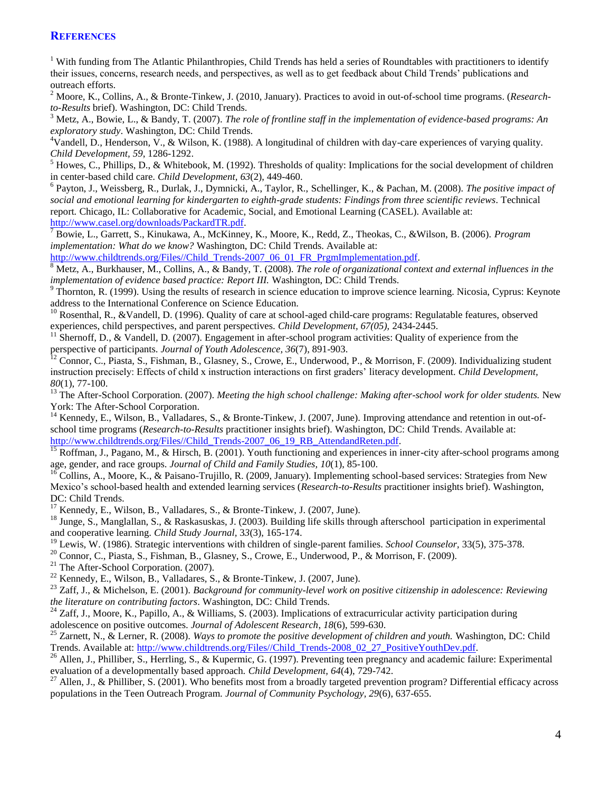#### **REFERENCES**

<sup>1</sup> With funding from The Atlantic Philanthropies, Child Trends has held a series of Roundtables with practitioners to identify their issues, concerns, research needs, and perspectives, as well as to get feedback about Child Trends' publications and outreach efforts.

<sup>2</sup> Moore, K., Collins, A., & Bronte-Tinkew, J. (2010, January). Practices to avoid in out-of-school time programs. (*Researchto-Results* brief). Washington, DC: Child Trends.

 $3$  Metz, A., Bowie, L., & Bandy, T. (2007). *The role of frontline staff in the implementation of evidence-based programs: An exploratory study*. Washington, DC: Child Trends.

<sup>4</sup>Vandell, D., Henderson, V., & Wilson, K. (1988). A longitudinal of children with day-care experiences of varying quality. *Child Development, 59*, 1286-1292.

 $<sup>5</sup>$  Howes, C., Phillips, D., & Whitebook, M. (1992). Thresholds of quality: Implications for the social development of children</sup> in center-based child care. *Child Development, 63*(2), 449-460.

6 Payton, J., Weissberg, R., Durlak, J., Dymnicki, A., Taylor, R., Schellinger, K., & Pachan, M. (2008). *The positive impact of social and emotional learning for kindergarten to eighth-grade students: Findings from three scientific reviews*. Technical report*.* Chicago, IL: Collaborative for Academic, Social, and Emotional Learning (CASEL). Available at: [http://www.casel.org/downloads/PackardTR.pdf.](http://www.casel.org/downloads/PackardTR.pdf)

<sup>7</sup> Bowie, L., Garrett, S., Kinukawa, A., McKinney, K., Moore, K., Redd, Z., Theokas, C., &Wilson, B. (2006). *Program implementation: What do we know?* Washington, DC: Child Trends. Available at:

[http://www.childtrends.org/Files//Child\\_Trends-2007\\_06\\_01\\_FR\\_PrgmImplementation.pdf.](http://www.childtrends.org/Files/Child_Trends-2007_06_01_FR_PrgmImplementation.pdf)

<sup>8</sup> Metz, A., Burkhauser, M., Collins, A., & Bandy, T. (2008). *The role of organizational context and external influences in the implementation of evidence based practice: Report III.* Washington, DC: Child Trends.

 $9$  Thornton, R. (1999). Using the results of research in science education to improve science learning. Nicosia, Cyprus: Keynote address to the International Conference on Science Education.

 $10$  Rosenthal, R., &Vandell, D. (1996). Quality of care at school-aged child-care programs: Regulatable features, observed experiences, child perspectives, and parent perspectives. *Child Development, 67(05),* 2434-2445.

 $11$  Shernoff, D., & Vandell, D. (2007). Engagement in after-school program activities: Quality of experience from the perspective of participants. *Journal of Youth Adolescence, 36*(7), 891-903.

<sup>12</sup> Connor, C., Piasta, S., Fishman, B., Glasney, S., Crowe, E., Underwood, P., & Morrison, F. (2009). Individualizing student instruction precisely: Effects of child x instruction interactions on first graders' literacy development. *Child Development, 80*(1), 77-100.

<sup>13</sup> The After-School Corporation. (2007). *Meeting the high school challenge: Making after-school work for older students*. New York: The After-School Corporation.

<sup>14</sup> Kennedy, E., Wilson, B., Valladares, S., & Bronte-Tinkew, J. (2007, June). Improving attendance and retention in out-ofschool time programs (*Research-to-Results* practitioner insights brief)*.* Washington, DC: Child Trends. Available at: [http://www.childtrends.org/Files//Child\\_Trends-2007\\_06\\_19\\_RB\\_AttendandReten.pdf.](http://www.childtrends.org/Files/Child_Trends-2007_06_19_RB_AttendandReten.pdf)

Roffman, J., Pagano, M., & Hirsch, B. (2001). Youth functioning and experiences in inner-city after-school programs among age, gender, and race groups. *Journal of Child and Family Studies, 10*(1), 85-100.

<sup>16</sup> Collins, A., Moore, K., & Paisano-Trujillo, R. (2009, January). Implementing school-based services: Strategies from New Mexico's school-based health and extended learning services (*Research-to-Results* practitioner insights brief). Washington, DC: Child Trends.

 $17$  Kennedy, E., Wilson, B., Valladares, S., & Bronte-Tinkew, J. (2007, June).

<sup>18</sup> Junge, S., Manglallan, S., & Raskasuskas, J. (2003). Building life skills through afterschool participation in experimental and cooperative learning. *Child Study Journal,* 3*3*(3), 165-174.

<sup>19</sup> Lewis, W. (1986). Strategic interventions with children of single-parent families. *School Counselor,* 33(5), 375-378.

<sup>20</sup> Connor, C., Piasta, S., Fishman, B., Glasney, S., Crowe, E., Underwood, P., & Morrison, F. (2009).

<sup>21</sup> The After-School Corporation. (2007).

<sup>22</sup> Kennedy, E., Wilson, B., Valladares, S., & Bronte-Tinkew, J. (2007, June).

<sup>23</sup> Zaff, J., & Michelson, E. (2001). *Background for community-level work on positive citizenship in adolescence: Reviewing the literature on contributing factors*. Washington, DC: Child Trends.

<sup>24</sup> Zaff, J., Moore, K., Papillo, A., & Williams, S. (2003). Implications of extracurricular activity participation during adolescence on positive outcomes. *Journal of Adolescent Research*, *18*(6), 599-630.

<sup>25</sup> Zarnett, N., & Lerner, R. (2008). *Ways to promote the positive development of children and youth.* Washington, DC: Child Trends. Available at: [http://www.childtrends.org/Files//Child\\_Trends-2008\\_02\\_27\\_PositiveYouthDev.pdf.](http://www.childtrends.org/Files/Child_Trends-2008_02_27_PositiveYouthDev.pdf)

<sup>26</sup> Allen, J., Philliber, S., Herrling, S., & Kupermic, G. (1997). Preventing teen pregnancy and academic failure: Experimental evaluation of a developmentally based approach. *Child Development, 64*(4), 729-742.

<sup>27</sup> Allen, J., & Philliber, S. (2001). Who benefits most from a broadly targeted prevention program? Differential efficacy across populations in the Teen Outreach Program. *Journal of Community Psychology, 29*(6), 637-655.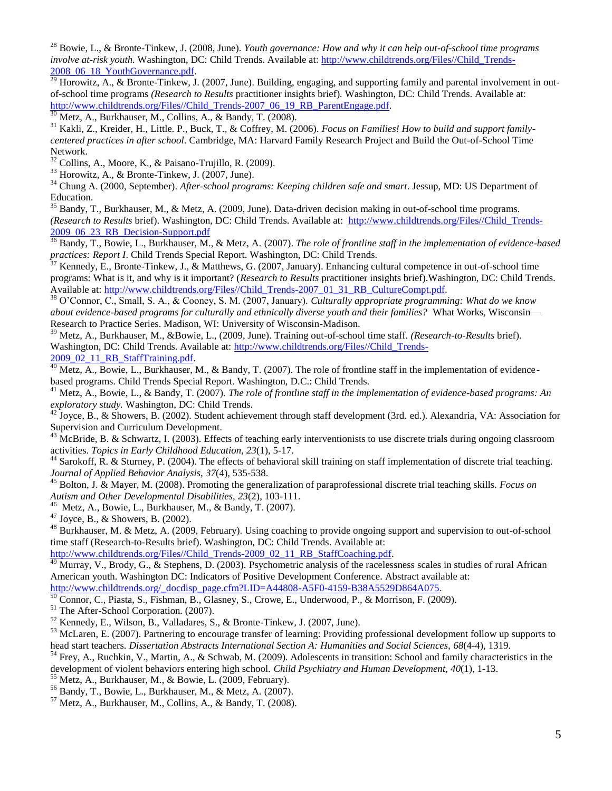<sup>28</sup> Bowie, L., & Bronte-Tinkew, J. (2008, June). *Youth governance: How and why it can help out-of-school time programs involve at-risk youth.* Washington, DC: Child Trends. Available at: [http://www.childtrends.org/Files//Child\\_Trends-](http://www.childtrends.org/Files/Child_Trends-2008_06_18_YouthGovernance.pdf)[2008\\_06\\_18\\_YouthGovernance.pdf.](http://www.childtrends.org/Files/Child_Trends-2008_06_18_YouthGovernance.pdf)

 $\frac{29}{29}$  Horowitz, A., & Bronte-Tinkew, J. (2007, June). Building, engaging, and supporting family and parental involvement in outof-school time programs *(Research to Results* practitioner insights brief)*.* Washington, DC: Child Trends. Available at: [http://www.childtrends.org/Files//Child\\_Trends-2007\\_06\\_19\\_RB\\_ParentEngage.pdf.](http://www.childtrends.org/Files/Child_Trends-2007_06_19_RB_ParentEngage.pdf)

 $30$  Metz, A., Burkhauser, M., Collins, A., & Bandy, T. (2008).

<sup>31</sup> Kakli, Z., Kreider, H., Little. P., Buck, T., & Coffrey, M. (2006). *Focus on Families! How to build and support familycentered practices in after school*. Cambridge, MA: Harvard Family Research Project and Build the Out-of-School Time Network.

 $32$  Collins, A., Moore, K., & Paisano-Trujillo, R. (2009).

<sup>33</sup> Horowitz, A., & Bronte-Tinkew, J. (2007, June).

<sup>34</sup> Chung A. (2000, September). *After-school programs: Keeping children safe and smart*. Jessup, MD: US Department of Education.

Bandy, T., Burkhauser, M., & Metz, A. (2009, June). Data-driven decision making in out-of-school time programs. *(Research to Results* brief). Washington, DC: Child Trends. Available at: [http://www.childtrends.org/Files//Child\\_Trends-](http://www.childtrends.org/Files/Child_Trends-2009_06_23_RB_Decision-Support.pdf)[2009\\_06\\_23\\_RB\\_Decision-Support.pdf](http://www.childtrends.org/Files/Child_Trends-2009_06_23_RB_Decision-Support.pdf)

<sup>36</sup> Bandy, T., Bowie, L., Burkhauser, M., & Metz, A. (2007). *The role of frontline staff in the implementation of evidence-based practices: Report I*. Child Trends Special Report. Washington, DC: Child Trends.

<sup>37</sup> Kennedy, E., Bronte-Tinkew, J., & Matthews, G. (2007, January). Enhancing cultural competence in out-of-school time programs: What is it, and why is it important? (*Research to Results* practitioner insights brief).Washington, DC: Child Trends. Available at: [http://www.childtrends.org/Files//Child\\_Trends-2007\\_01\\_31\\_RB\\_CultureCompt.pdf.](http://www.childtrends.org/Files/Child_Trends-2007_01_31_RB_CultureCompt.pdf)

<sup>38</sup> O'Connor, C., Small, S. A., & Cooney, S. M. (2007, January). *Culturally appropriate programming: What do we know about evidence-based programs for culturally and ethnically diverse youth and their families?* What Works, Wisconsin— Research to Practice Series. Madison, WI: University of Wisconsin-Madison.

<sup>39</sup> Metz, A., Burkhauser, M., &Bowie, L., (2009, June). Training out-of-school time staff. *(Research-to-Results* brief). Washington, DC: Child Trends. Available at: [http://www.childtrends.org/Files//Child\\_Trends-](http://www.childtrends.org/Files/Child_Trends-2009_02_11_RB_StaffTraining.pdf)[2009\\_02\\_11\\_RB\\_StaffTraining.pdf.](http://www.childtrends.org/Files/Child_Trends-2009_02_11_RB_StaffTraining.pdf)

 $\frac{40}{40}$  Metz, A., Bowie, L., Burkhauser, M., & Bandy, T. (2007). The role of frontline staff in the implementation of evidencebased programs. Child Trends Special Report. Washington, D.C.: Child Trends.

<sup>41</sup> Metz, A., Bowie, L., & Bandy, T. (2007). *The role of frontline staff in the implementation of evidence-based programs: An exploratory study.* Washington, DC: Child Trends.

<sup>42</sup> Joyce, B., & Showers, B. (2002). Student achievement through staff development (3rd. ed.). Alexandria, VA: Association for Supervision and Curriculum Development.

<sup>43</sup> McBride, B. & Schwartz, I. (2003). Effects of teaching early interventionists to use discrete trials during ongoing classroom activities. *Topics in Early Childhood Education, 23*(1), 5-17.

<sup>44</sup> Sarokoff, R. & Sturney, P. (2004). The effects of behavioral skill training on staff implementation of discrete trial teaching. *Journal of Applied Behavior Analysis, 37*(4), 535-538.

<sup>45</sup> Bolton, J. & Mayer, M. (2008). Promoting the generalization of paraprofessional discrete trial teaching skills. *Focus on Autism and Other Developmental Disabilities, 23*(2), 103-111.

 $46$  Metz, A., Bowie, L., Burkhauser, M., & Bandy, T. (2007).

<sup>47</sup> Joyce, B., & Showers, B. (2002).

<sup>48</sup> Burkhauser, M. & Metz, A. (2009, February). Using coaching to provide ongoing support and supervision to out-of-school time staff (Research-to-Results brief). Washington, DC: Child Trends. Available at:

[http://www.childtrends.org/Files//Child\\_Trends-2009\\_02\\_11\\_RB\\_StaffCoaching.pdf.](http://www.childtrends.org/Files/Child_Trends-2009_02_11_RB_StaffCoaching.pdf)

 $\frac{49}{49}$  Murray, V., Brody, G., & Stephens, D. (2003). Psychometric analysis of the racelessness scales in studies of rural African American youth. Washington DC: Indicators of Positive Development Conference. Abstract available at: [http://www.childtrends.org/\\_docdisp\\_page.cfm?LID=A44808-A5F0-4159-B38A5529D864A075.](http://www.childtrends.org/_docdisp_page.cfm?LID=A44808-A5F0-4159-B38A5529D864A075)

Connor, C., Piasta, S., Fishman, B., Glasney, S., Crowe, E., Underwood, P., & Morrison, F. (2009).

<sup>51</sup> The After-School Corporation. (2007).

<sup>52</sup> Kennedy, E., Wilson, B., Valladares, S., & Bronte-Tinkew, J. (2007, June).

<sup>53</sup> McLaren, E. (2007). Partnering to encourage transfer of learning: Providing professional development follow up supports to head start teachers. *Dissertation Abstracts International Section A: Humanities and Social Sciences, 68*(4-4), 1319.

<sup>54</sup> Frey, A., Ruchkin, V., Martin, A., & Schwab, M. (2009). Adolescents in transition: School and family characteristics in the development of violent behaviors entering high school. *Child Psychiatry and Human Development, 40*(1), 1-13.

<sup>55</sup> Metz, A., Burkhauser, M., & Bowie, L. (2009, February).

<sup>56</sup> Bandy, T., Bowie, L., Burkhauser, M., & Metz, A. (2007).

 $57$  Metz, A., Burkhauser, M., Collins, A., & Bandy, T. (2008).